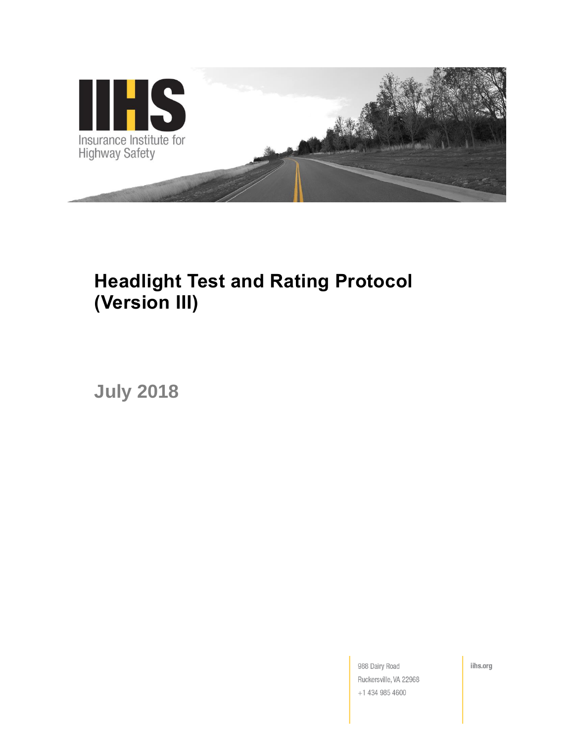

# **Headlight Test and Rating Protocol (Version III)**

**July 2018**

988 Dairy Road Ruckersville, VA 22968 +1 434 985 4600

iihs.org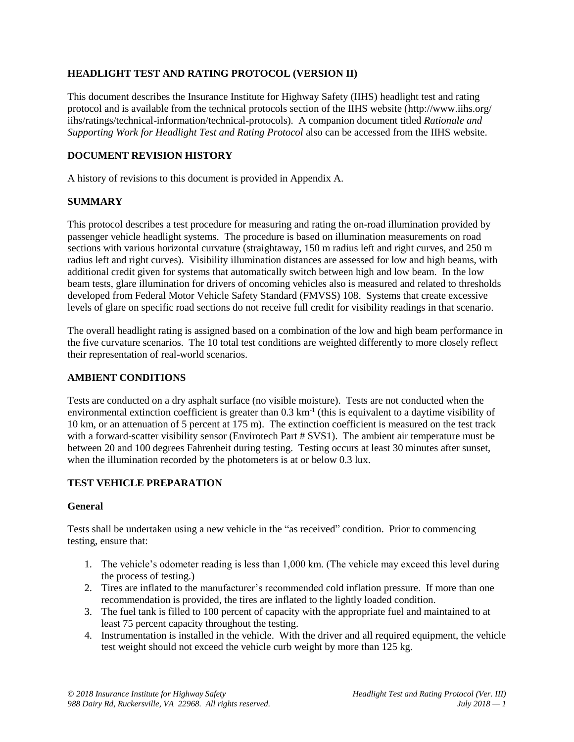## **HEADLIGHT TEST AND RATING PROTOCOL (VERSION II)**

This document describes the Insurance Institute for Highway Safety (IIHS) headlight test and rating protocol and is available from the technical protocols section of the IIHS website (http://www.iihs.org/ iihs/ratings/technical-information/technical-protocols). A companion document titled *Rationale and Supporting Work for Headlight Test and Rating Protocol* also can be accessed from the IIHS website.

## **DOCUMENT REVISION HISTORY**

A history of revisions to this document is provided in Appendix A.

## **SUMMARY**

This protocol describes a test procedure for measuring and rating the on-road illumination provided by passenger vehicle headlight systems. The procedure is based on illumination measurements on road sections with various horizontal curvature (straightaway, 150 m radius left and right curves, and 250 m radius left and right curves). Visibility illumination distances are assessed for low and high beams, with additional credit given for systems that automatically switch between high and low beam. In the low beam tests, glare illumination for drivers of oncoming vehicles also is measured and related to thresholds developed from Federal Motor Vehicle Safety Standard (FMVSS) 108. Systems that create excessive levels of glare on specific road sections do not receive full credit for visibility readings in that scenario.

The overall headlight rating is assigned based on a combination of the low and high beam performance in the five curvature scenarios. The 10 total test conditions are weighted differently to more closely reflect their representation of real-world scenarios.

#### **AMBIENT CONDITIONS**

Tests are conducted on a dry asphalt surface (no visible moisture). Tests are not conducted when the environmental extinction coefficient is greater than 0.3 km<sup>-1</sup> (this is equivalent to a daytime visibility of 10 km, or an attenuation of 5 percent at 175 m). The extinction coefficient is measured on the test track with a forward-scatter visibility sensor (Envirotech Part # SVS1). The ambient air temperature must be between 20 and 100 degrees Fahrenheit during testing. Testing occurs at least 30 minutes after sunset, when the illumination recorded by the photometers is at or below 0.3 lux.

#### **TEST VEHICLE PREPARATION**

#### **General**

Tests shall be undertaken using a new vehicle in the "as received" condition. Prior to commencing testing, ensure that:

- 1. The vehicle's odometer reading is less than 1,000 km. (The vehicle may exceed this level during the process of testing.)
- 2. Tires are inflated to the manufacturer's recommended cold inflation pressure. If more than one recommendation is provided, the tires are inflated to the lightly loaded condition.
- 3. The fuel tank is filled to 100 percent of capacity with the appropriate fuel and maintained to at least 75 percent capacity throughout the testing.
- 4. Instrumentation is installed in the vehicle. With the driver and all required equipment, the vehicle test weight should not exceed the vehicle curb weight by more than 125 kg.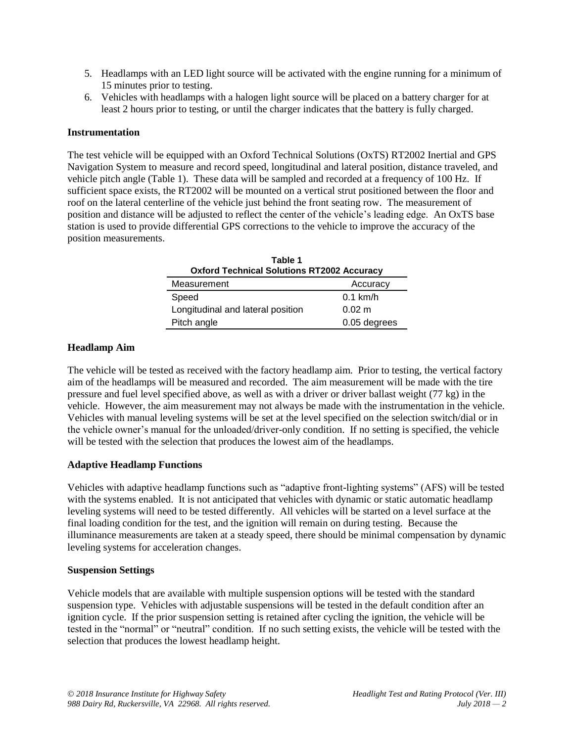- 5. Headlamps with an LED light source will be activated with the engine running for a minimum of 15 minutes prior to testing.
- 6. Vehicles with headlamps with a halogen light source will be placed on a battery charger for at least 2 hours prior to testing, or until the charger indicates that the battery is fully charged.

## **Instrumentation**

The test vehicle will be equipped with an Oxford Technical Solutions (OxTS) RT2002 Inertial and GPS Navigation System to measure and record speed, longitudinal and lateral position, distance traveled, and vehicle pitch angle (Table 1). These data will be sampled and recorded at a frequency of 100 Hz. If sufficient space exists, the RT2002 will be mounted on a vertical strut positioned between the floor and roof on the lateral centerline of the vehicle just behind the front seating row. The measurement of position and distance will be adjusted to reflect the center of the vehicle's leading edge. An OxTS base station is used to provide differential GPS corrections to the vehicle to improve the accuracy of the position measurements.

| Table 1<br><b>Oxford Technical Solutions RT2002 Accuracy</b> |                  |  |  |
|--------------------------------------------------------------|------------------|--|--|
| Measurement                                                  | Accuracy         |  |  |
| Speed                                                        | $0.1$ km/h       |  |  |
| Longitudinal and lateral position                            | $0.02 \text{ m}$ |  |  |
| Pitch angle                                                  | 0.05 degrees     |  |  |

## **Headlamp Aim**

The vehicle will be tested as received with the factory headlamp aim. Prior to testing, the vertical factory aim of the headlamps will be measured and recorded. The aim measurement will be made with the tire pressure and fuel level specified above, as well as with a driver or driver ballast weight (77 kg) in the vehicle. However, the aim measurement may not always be made with the instrumentation in the vehicle. Vehicles with manual leveling systems will be set at the level specified on the selection switch/dial or in the vehicle owner's manual for the unloaded/driver-only condition. If no setting is specified, the vehicle will be tested with the selection that produces the lowest aim of the headlamps.

# **Adaptive Headlamp Functions**

Vehicles with adaptive headlamp functions such as "adaptive front-lighting systems" (AFS) will be tested with the systems enabled. It is not anticipated that vehicles with dynamic or static automatic headlamp leveling systems will need to be tested differently. All vehicles will be started on a level surface at the final loading condition for the test, and the ignition will remain on during testing. Because the illuminance measurements are taken at a steady speed, there should be minimal compensation by dynamic leveling systems for acceleration changes.

#### **Suspension Settings**

Vehicle models that are available with multiple suspension options will be tested with the standard suspension type. Vehicles with adjustable suspensions will be tested in the default condition after an ignition cycle. If the prior suspension setting is retained after cycling the ignition, the vehicle will be tested in the "normal" or "neutral" condition. If no such setting exists, the vehicle will be tested with the selection that produces the lowest headlamp height.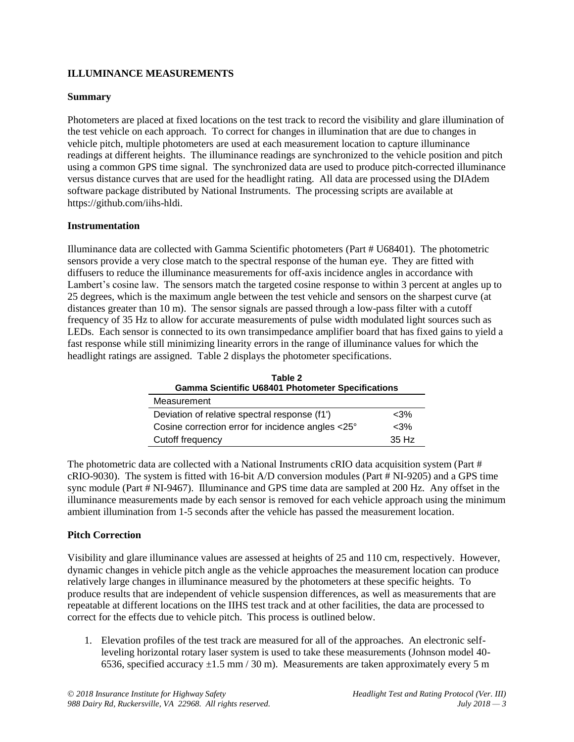## **ILLUMINANCE MEASUREMENTS**

#### **Summary**

Photometers are placed at fixed locations on the test track to record the visibility and glare illumination of the test vehicle on each approach. To correct for changes in illumination that are due to changes in vehicle pitch, multiple photometers are used at each measurement location to capture illuminance readings at different heights. The illuminance readings are synchronized to the vehicle position and pitch using a common GPS time signal. The synchronized data are used to produce pitch-corrected illuminance versus distance curves that are used for the headlight rating. All data are processed using the DIAdem software package distributed by National Instruments. The processing scripts are available at https://github.com/iihs-hldi.

#### **Instrumentation**

Illuminance data are collected with Gamma Scientific photometers (Part # U68401). The photometric sensors provide a very close match to the spectral response of the human eye. They are fitted with diffusers to reduce the illuminance measurements for off-axis incidence angles in accordance with Lambert's cosine law. The sensors match the targeted cosine response to within 3 percent at angles up to 25 degrees, which is the maximum angle between the test vehicle and sensors on the sharpest curve (at distances greater than 10 m). The sensor signals are passed through a low-pass filter with a cutoff frequency of 35 Hz to allow for accurate measurements of pulse width modulated light sources such as LEDs. Each sensor is connected to its own transimpedance amplifier board that has fixed gains to yield a fast response while still minimizing linearity errors in the range of illuminance values for which the headlight ratings are assigned. Table 2 displays the photometer specifications.

| Table 2<br><b>Gamma Scientific U68401 Photometer Specifications</b> |        |  |  |
|---------------------------------------------------------------------|--------|--|--|
| Measurement                                                         |        |  |  |
| Deviation of relative spectral response (f1')                       | $<$ 3% |  |  |
| Cosine correction error for incidence angles <25°                   | $<3\%$ |  |  |
| Cutoff frequency                                                    | 35Hz   |  |  |

The photometric data are collected with a National Instruments cRIO data acquisition system (Part # cRIO-9030). The system is fitted with 16-bit A/D conversion modules (Part # NI-9205) and a GPS time sync module (Part # NI-9467). Illuminance and GPS time data are sampled at 200 Hz. Any offset in the illuminance measurements made by each sensor is removed for each vehicle approach using the minimum ambient illumination from 1-5 seconds after the vehicle has passed the measurement location.

#### **Pitch Correction**

Visibility and glare illuminance values are assessed at heights of 25 and 110 cm, respectively. However, dynamic changes in vehicle pitch angle as the vehicle approaches the measurement location can produce relatively large changes in illuminance measured by the photometers at these specific heights. To produce results that are independent of vehicle suspension differences, as well as measurements that are repeatable at different locations on the IIHS test track and at other facilities, the data are processed to correct for the effects due to vehicle pitch. This process is outlined below.

1. Elevation profiles of the test track are measured for all of the approaches. An electronic selfleveling horizontal rotary laser system is used to take these measurements (Johnson model 40- 6536, specified accuracy  $\pm 1.5$  mm / 30 m). Measurements are taken approximately every 5 m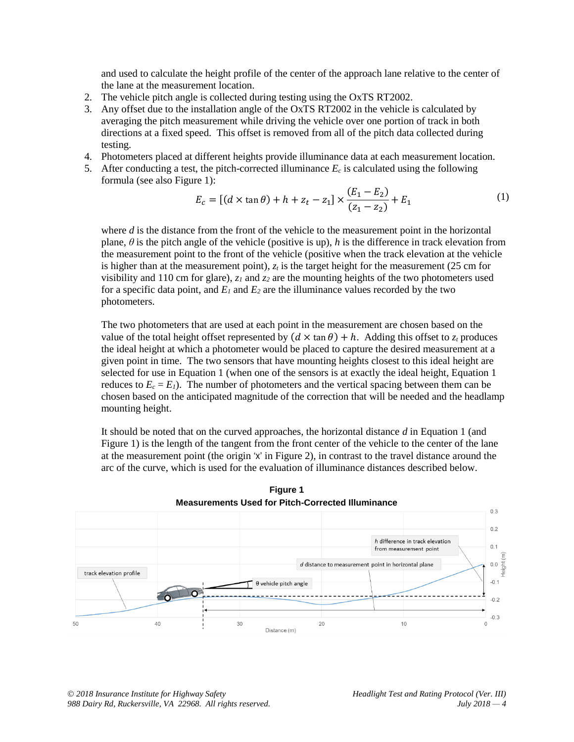and used to calculate the height profile of the center of the approach lane relative to the center of the lane at the measurement location.

- 2. The vehicle pitch angle is collected during testing using the OxTS RT2002.
- 3. Any offset due to the installation angle of the OxTS RT2002 in the vehicle is calculated by averaging the pitch measurement while driving the vehicle over one portion of track in both directions at a fixed speed. This offset is removed from all of the pitch data collected during testing.
- 4. Photometers placed at different heights provide illuminance data at each measurement location.
- 5. After conducting a test, the pitch-corrected illuminance  $E_c$  is calculated using the following formula (see also Figure 1):

$$
E_c = [(d \times \tan \theta) + h + z_t - z_1] \times \frac{(E_1 - E_2)}{(z_1 - z_2)} + E_1
$$
 (1)

where *d* is the distance from the front of the vehicle to the measurement point in the horizontal plane,  $\theta$  is the pitch angle of the vehicle (positive is up), h is the difference in track elevation from the measurement point to the front of the vehicle (positive when the track elevation at the vehicle is higher than at the measurement point),  $z_t$  is the target height for the measurement (25 cm for visibility and 110 cm for glare), *z<sup>1</sup>* and *z<sup>2</sup>* are the mounting heights of the two photometers used for a specific data point, and  $E_l$  and  $E_2$  are the illuminance values recorded by the two photometers.

The two photometers that are used at each point in the measurement are chosen based on the value of the total height offset represented by  $(d \times \tan \theta) + h$ . Adding this offset to  $z_t$  produces the ideal height at which a photometer would be placed to capture the desired measurement at a given point in time. The two sensors that have mounting heights closest to this ideal height are selected for use in Equation 1 (when one of the sensors is at exactly the ideal height, Equation 1 reduces to  $E_c = E_l$ ). The number of photometers and the vertical spacing between them can be chosen based on the anticipated magnitude of the correction that will be needed and the headlamp mounting height.

It should be noted that on the curved approaches, the horizontal distance *d* in Equation 1 (and Figure 1) is the length of the tangent from the front center of the vehicle to the center of the lane at the measurement point (the origin 'X' in Figure 2), in contrast to the travel distance around the arc of the curve, which is used for the evaluation of illuminance distances described below.



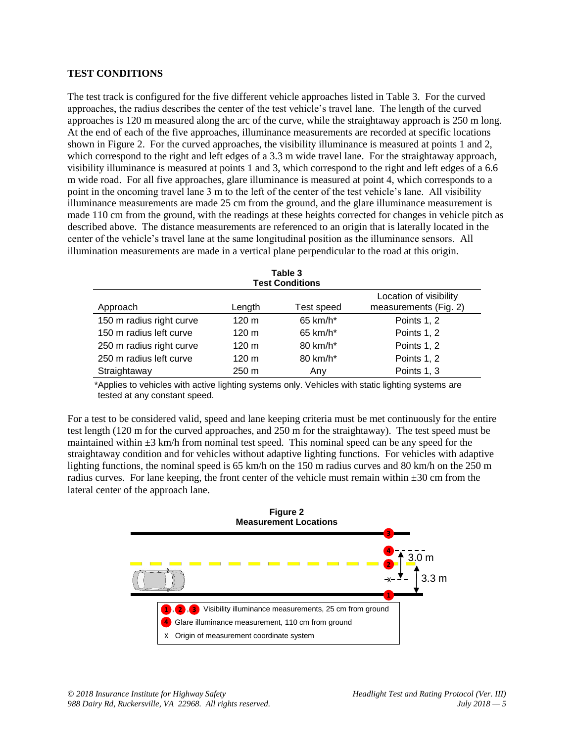#### **TEST CONDITIONS**

The test track is configured for the five different vehicle approaches listed in Table 3. For the curved approaches, the radius describes the center of the test vehicle's travel lane. The length of the curved approaches is 120 m measured along the arc of the curve, while the straightaway approach is 250 m long. At the end of each of the five approaches, illuminance measurements are recorded at specific locations shown in Figure 2. For the curved approaches, the visibility illuminance is measured at points 1 and 2, which correspond to the right and left edges of a 3.3 m wide travel lane. For the straightaway approach, visibility illuminance is measured at points 1 and 3, which correspond to the right and left edges of a 6.6 m wide road. For all five approaches, glare illuminance is measured at point 4, which corresponds to a point in the oncoming travel lane 3 m to the left of the center of the test vehicle's lane. All visibility illuminance measurements are made 25 cm from the ground, and the glare illuminance measurement is made 110 cm from the ground, with the readings at these heights corrected for changes in vehicle pitch as described above. The distance measurements are referenced to an origin that is laterally located in the center of the vehicle's travel lane at the same longitudinal position as the illuminance sensors. All illumination measurements are made in a vertical plane perpendicular to the road at this origin.

| Table 3<br><b>Test Conditions</b> |                  |            |                                                 |  |  |
|-----------------------------------|------------------|------------|-------------------------------------------------|--|--|
| Approach                          | Length           | Test speed | Location of visibility<br>measurements (Fig. 2) |  |  |
| 150 m radius right curve          | 120 m            | 65 km/h*   | Points 1, 2                                     |  |  |
| 150 m radius left curve           | $120 \text{ m}$  | 65 km/h*   | Points 1, 2                                     |  |  |
| 250 m radius right curve          | $120 \text{ m}$  | 80 km/h*   | Points 1, 2                                     |  |  |
| 250 m radius left curve           | $120 \text{ m}$  | 80 km/h*   | Points 1, 2                                     |  |  |
| Straightaway                      | 250 <sub>m</sub> | Any        | Points 1, 3                                     |  |  |

\*Applies to vehicles with active lighting systems only. Vehicles with static lighting systems are tested at any constant speed.

For a test to be considered valid, speed and lane keeping criteria must be met continuously for the entire test length (120 m for the curved approaches, and 250 m for the straightaway). The test speed must be maintained within  $\pm 3$  km/h from nominal test speed. This nominal speed can be any speed for the straightaway condition and for vehicles without adaptive lighting functions. For vehicles with adaptive lighting functions, the nominal speed is 65 km/h on the 150 m radius curves and 80 km/h on the 250 m radius curves. For lane keeping, the front center of the vehicle must remain within ±30 cm from the lateral center of the approach lane.

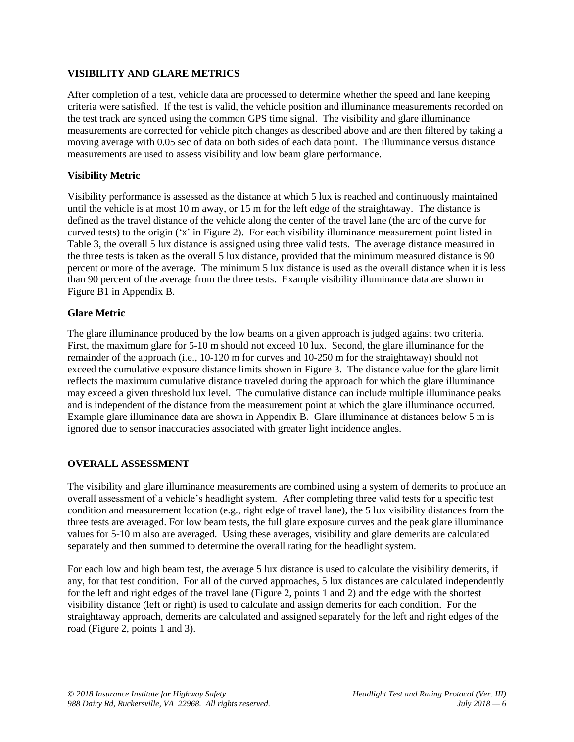## **VISIBILITY AND GLARE METRICS**

After completion of a test, vehicle data are processed to determine whether the speed and lane keeping criteria were satisfied. If the test is valid, the vehicle position and illuminance measurements recorded on the test track are synced using the common GPS time signal. The visibility and glare illuminance measurements are corrected for vehicle pitch changes as described above and are then filtered by taking a moving average with 0.05 sec of data on both sides of each data point. The illuminance versus distance measurements are used to assess visibility and low beam glare performance.

## **Visibility Metric**

Visibility performance is assessed as the distance at which 5 lux is reached and continuously maintained until the vehicle is at most 10 m away, or 15 m for the left edge of the straightaway. The distance is defined as the travel distance of the vehicle along the center of the travel lane (the arc of the curve for curved tests) to the origin ('X' in Figure 2). For each visibility illuminance measurement point listed in Table 3, the overall 5 lux distance is assigned using three valid tests. The average distance measured in the three tests is taken as the overall 5 lux distance, provided that the minimum measured distance is 90 percent or more of the average. The minimum 5 lux distance is used as the overall distance when it is less than 90 percent of the average from the three tests. Example visibility illuminance data are shown in Figure B1 in Appendix B.

## **Glare Metric**

The glare illuminance produced by the low beams on a given approach is judged against two criteria. First, the maximum glare for 5-10 m should not exceed 10 lux. Second, the glare illuminance for the remainder of the approach (i.e., 10-120 m for curves and 10-250 m for the straightaway) should not exceed the cumulative exposure distance limits shown in Figure 3. The distance value for the glare limit reflects the maximum cumulative distance traveled during the approach for which the glare illuminance may exceed a given threshold lux level. The cumulative distance can include multiple illuminance peaks and is independent of the distance from the measurement point at which the glare illuminance occurred. Example glare illuminance data are shown in Appendix B. Glare illuminance at distances below 5 m is ignored due to sensor inaccuracies associated with greater light incidence angles.

# **OVERALL ASSESSMENT**

The visibility and glare illuminance measurements are combined using a system of demerits to produce an overall assessment of a vehicle's headlight system. After completing three valid tests for a specific test condition and measurement location (e.g., right edge of travel lane), the 5 lux visibility distances from the three tests are averaged. For low beam tests, the full glare exposure curves and the peak glare illuminance values for 5-10 m also are averaged. Using these averages, visibility and glare demerits are calculated separately and then summed to determine the overall rating for the headlight system.

For each low and high beam test, the average 5 lux distance is used to calculate the visibility demerits, if any, for that test condition. For all of the curved approaches, 5 lux distances are calculated independently for the left and right edges of the travel lane (Figure 2, points 1 and 2) and the edge with the shortest visibility distance (left or right) is used to calculate and assign demerits for each condition. For the straightaway approach, demerits are calculated and assigned separately for the left and right edges of the road (Figure 2, points 1 and 3).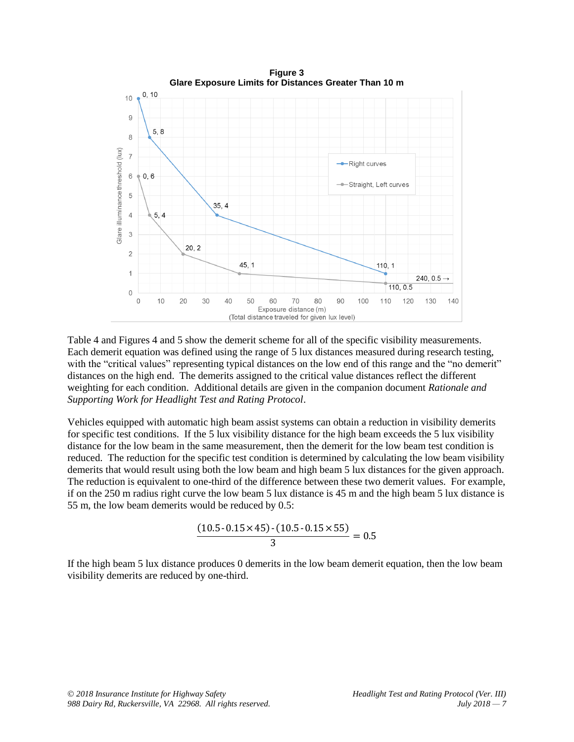

Table 4 and Figures 4 and 5 show the demerit scheme for all of the specific visibility measurements. Each demerit equation was defined using the range of 5 lux distances measured during research testing, with the "critical values" representing typical distances on the low end of this range and the "no demerit" distances on the high end. The demerits assigned to the critical value distances reflect the different weighting for each condition. Additional details are given in the companion document *Rationale and Supporting Work for Headlight Test and Rating Protocol*.

Vehicles equipped with automatic high beam assist systems can obtain a reduction in visibility demerits for specific test conditions. If the 5 lux visibility distance for the high beam exceeds the 5 lux visibility distance for the low beam in the same measurement, then the demerit for the low beam test condition is reduced. The reduction for the specific test condition is determined by calculating the low beam visibility demerits that would result using both the low beam and high beam 5 lux distances for the given approach. The reduction is equivalent to one-third of the difference between these two demerit values. For example, if on the 250 m radius right curve the low beam 5 lux distance is 45 m and the high beam 5 lux distance is 55 m, the low beam demerits would be reduced by 0.5:

$$
\frac{(10.5 - 0.15 \times 45) - (10.5 - 0.15 \times 55)}{3} = 0.5
$$

If the high beam 5 lux distance produces 0 demerits in the low beam demerit equation, then the low beam visibility demerits are reduced by one-third.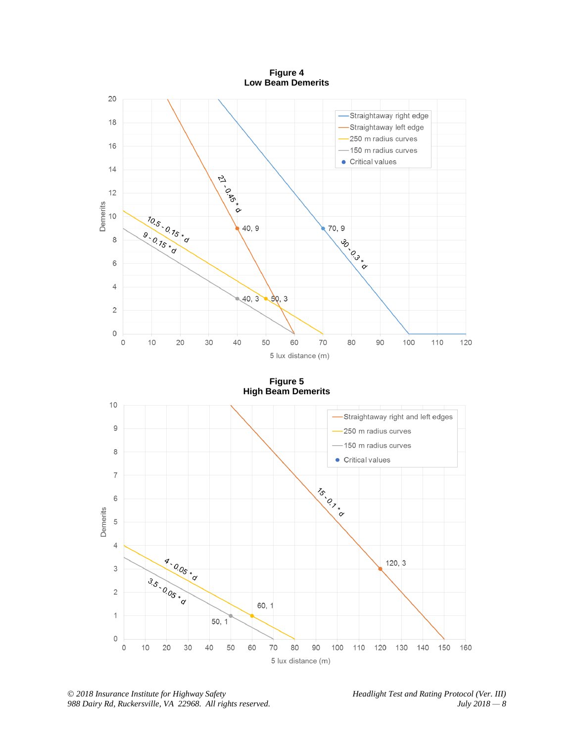**Figure 4 Low Beam Demerits**

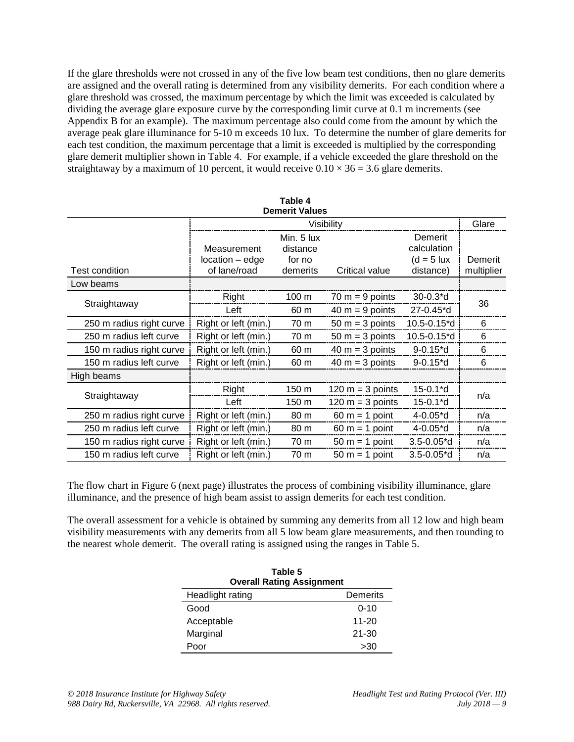If the glare thresholds were not crossed in any of the five low beam test conditions, then no glare demerits are assigned and the overall rating is determined from any visibility demerits. For each condition where a glare threshold was crossed, the maximum percentage by which the limit was exceeded is calculated by dividing the average glare exposure curve by the corresponding limit curve at 0.1 m increments (see Appendix B for an example). The maximum percentage also could come from the amount by which the average peak glare illuminance for 5-10 m exceeds 10 lux. To determine the number of glare demerits for each test condition, the maximum percentage that a limit is exceeded is multiplied by the corresponding glare demerit multiplier shown in Table 4. For example, if a vehicle exceeded the glare threshold on the straightaway by a maximum of 10 percent, it would receive  $0.10 \times 36 = 3.6$  glare demerits.

| Table 4<br><b>Demerit Values</b> |                                                |                                              |                    |                                                      |                       |
|----------------------------------|------------------------------------------------|----------------------------------------------|--------------------|------------------------------------------------------|-----------------------|
|                                  | Visibility                                     |                                              |                    | Glare                                                |                       |
| Test condition                   | Measurement<br>location - edge<br>of lane/road | Min. 5 lux<br>distance<br>for no<br>demerits | Critical value     | Demerit<br>calculation<br>$(d = 5)$ lux<br>distance) | Demerit<br>multiplier |
| Low beams                        |                                                |                                              |                    |                                                      |                       |
| Straightaway                     | Right                                          | 100 m                                        | $70 m = 9$ points  | $30 - 0.3$ *d                                        |                       |
|                                  | Left                                           | 60 m                                         | $40 m = 9$ points  | 27-0.45*d                                            | 36                    |
| 250 m radius right curve         | Right or left (min.)                           | 70 m                                         | $50 m = 3 points$  | 10.5-0.15*d                                          | 6                     |
| 250 m radius left curve          | Right or left (min.)                           | 70 m                                         | $50 m = 3 points$  | 10.5-0.15*d                                          | 6                     |
| 150 m radius right curve         | Right or left (min.)                           | 60 m                                         | $40 m = 3$ points  | $9 - 0.15$ *d                                        | 6                     |
| 150 m radius left curve          | Right or left (min.)                           | 60 m                                         | $40 m = 3$ points  | $9 - 0.15$ *d                                        | 6                     |
| High beams                       |                                                |                                              |                    |                                                      |                       |
| Straightaway                     | Right                                          | 150 m                                        | $120 m = 3 points$ | $15 - 0.1$ <sup>*</sup> d                            |                       |
|                                  | Left                                           | 150 m                                        | $120 m = 3 points$ | $15 - 0.1$ *d                                        | n/a                   |
| 250 m radius right curve         | Right or left (min.)                           | 80 m                                         | $60 m = 1$ point   | 4-0.05*d                                             | n/a                   |
| 250 m radius left curve          | Right or left (min.)                           | 80 m                                         | $60 m = 1$ point   | 4-0.05*d                                             | n/a                   |
| 150 m radius right curve         | Right or left (min.)                           | 70 m                                         | $50 m = 1 point$   | $3.5 - 0.05$ *d                                      | n/a                   |
| 150 m radius left curve          | Right or left (min.)                           | 70 m                                         | $50 m = 1$ point   | $3.5 - 0.05$ <sup>*</sup> d                          | n/a                   |

The flow chart in Figure 6 (next page) illustrates the process of combining visibility illuminance, glare illuminance, and the presence of high beam assist to assign demerits for each test condition.

The overall assessment for a vehicle is obtained by summing any demerits from all 12 low and high beam visibility measurements with any demerits from all 5 low beam glare measurements, and then rounding to the nearest whole demerit. The overall rating is assigned using the ranges in Table 5.

| Table 5<br><b>Overall Rating Assignment</b> |           |  |  |
|---------------------------------------------|-----------|--|--|
| Headlight rating                            | Demerits  |  |  |
| Good                                        | $0 - 10$  |  |  |
| Acceptable                                  | $11 - 20$ |  |  |
| Marginal                                    | $21 - 30$ |  |  |
| Poor                                        | >30       |  |  |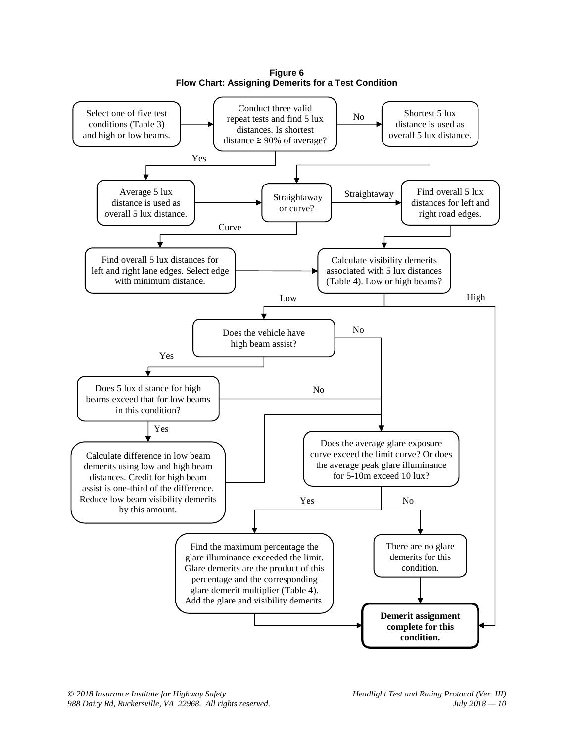Find the maximum percentage the glare illuminance exceeded the limit. Glare demerits are the product of this percentage and the corresponding glare demerit multiplier (Table 4). Add the glare and visibility demerits. Select one of five test conditions (Table 3) and high or low beams. Conduct three valid repeat tests and find 5 lux distances. Is shortest distance ≥ 90% of average? Find overall 5 lux distances for left and right road edges. Find overall 5 lux distances for left and right lane edges. Select edge with minimum distance. Straightaway Curve Calculate visibility demerits associated with 5 lux distances (Table 4). Low or high beams? Low High **Demerit assignment complete for this condition.** Does the vehicle have high beam assist? Does 5 lux distance for high beams exceed that for low beams in this condition? Yes No Calculate difference in low beam demerits using low and high beam distances. Credit for high beam assist is one-third of the difference. Reduce low beam visibility demerits by this amount. No Does the average glare exposure curve exceed the limit curve? Or does the average peak glare illuminance for 5-10m exceed 10 lux? There are no glare demerits for this condition. Yes Yes No Shortest 5 lux distance is used as overall 5 lux distance. Average 5 lux distance is used as overall 5 lux distance. No Yes Straightaway or curve?

**Figure 6 Flow Chart: Assigning Demerits for a Test Condition**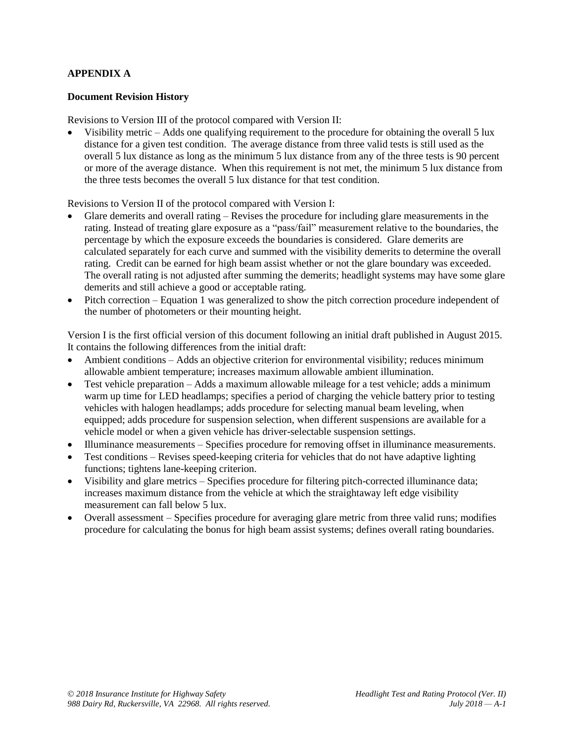## **APPENDIX A**

#### **Document Revision History**

Revisions to Version III of the protocol compared with Version II:

• Visibility metric – Adds one qualifying requirement to the procedure for obtaining the overall 5 lux distance for a given test condition. The average distance from three valid tests is still used as the overall 5 lux distance as long as the minimum 5 lux distance from any of the three tests is 90 percent or more of the average distance. When this requirement is not met, the minimum 5 lux distance from the three tests becomes the overall 5 lux distance for that test condition.

Revisions to Version II of the protocol compared with Version I:

- Glare demerits and overall rating Revises the procedure for including glare measurements in the rating. Instead of treating glare exposure as a "pass/fail" measurement relative to the boundaries, the percentage by which the exposure exceeds the boundaries is considered. Glare demerits are calculated separately for each curve and summed with the visibility demerits to determine the overall rating. Credit can be earned for high beam assist whether or not the glare boundary was exceeded. The overall rating is not adjusted after summing the demerits; headlight systems may have some glare demerits and still achieve a good or acceptable rating.
- Pitch correction Equation 1 was generalized to show the pitch correction procedure independent of the number of photometers or their mounting height.

Version I is the first official version of this document following an initial draft published in August 2015. It contains the following differences from the initial draft:

- Ambient conditions Adds an objective criterion for environmental visibility; reduces minimum allowable ambient temperature; increases maximum allowable ambient illumination.
- Test vehicle preparation Adds a maximum allowable mileage for a test vehicle; adds a minimum warm up time for LED headlamps; specifies a period of charging the vehicle battery prior to testing vehicles with halogen headlamps; adds procedure for selecting manual beam leveling, when equipped; adds procedure for suspension selection, when different suspensions are available for a vehicle model or when a given vehicle has driver-selectable suspension settings.
- Illuminance measurements Specifies procedure for removing offset in illuminance measurements.
- Test conditions Revises speed-keeping criteria for vehicles that do not have adaptive lighting functions; tightens lane-keeping criterion.
- Visibility and glare metrics Specifies procedure for filtering pitch-corrected illuminance data; increases maximum distance from the vehicle at which the straightaway left edge visibility measurement can fall below 5 lux.
- Overall assessment Specifies procedure for averaging glare metric from three valid runs; modifies procedure for calculating the bonus for high beam assist systems; defines overall rating boundaries.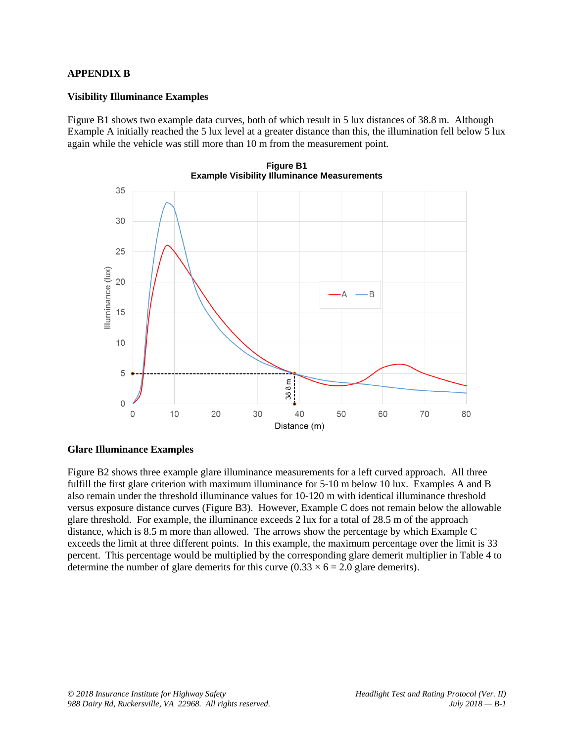#### **APPENDIX B**

#### **Visibility Illuminance Examples**

Figure B1 shows two example data curves, both of which result in 5 lux distances of 38.8 m. Although Example A initially reached the 5 lux level at a greater distance than this, the illumination fell below 5 lux again while the vehicle was still more than 10 m from the measurement point.



**Figure B1**

#### **Glare Illuminance Examples**

Figure B2 shows three example glare illuminance measurements for a left curved approach. All three fulfill the first glare criterion with maximum illuminance for 5-10 m below 10 lux. Examples A and B also remain under the threshold illuminance values for 10-120 m with identical illuminance threshold versus exposure distance curves (Figure B3). However, Example C does not remain below the allowable glare threshold. For example, the illuminance exceeds 2 lux for a total of 28.5 m of the approach distance, which is 8.5 m more than allowed. The arrows show the percentage by which Example C exceeds the limit at three different points. In this example, the maximum percentage over the limit is 33 percent. This percentage would be multiplied by the corresponding glare demerit multiplier in Table 4 to determine the number of glare demerits for this curve  $(0.33 \times 6 = 2.0$  glare demerits).